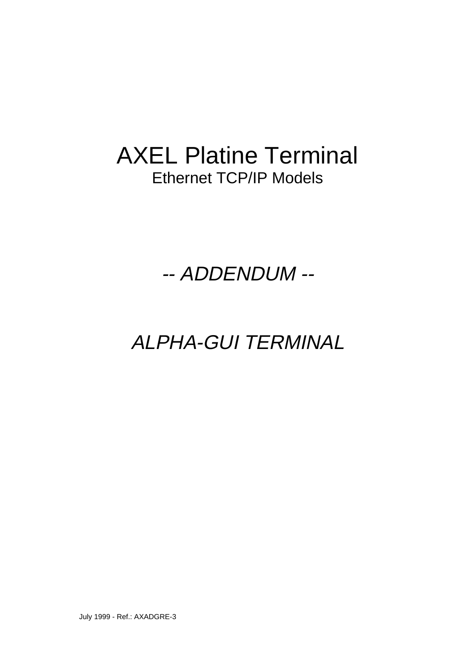# AXEL Platine Terminal Ethernet TCP/IP Models

-- ADDENDUM --

ALPHA-GUI TERMINAL

July 1999 - Ref.: AXADGRE-3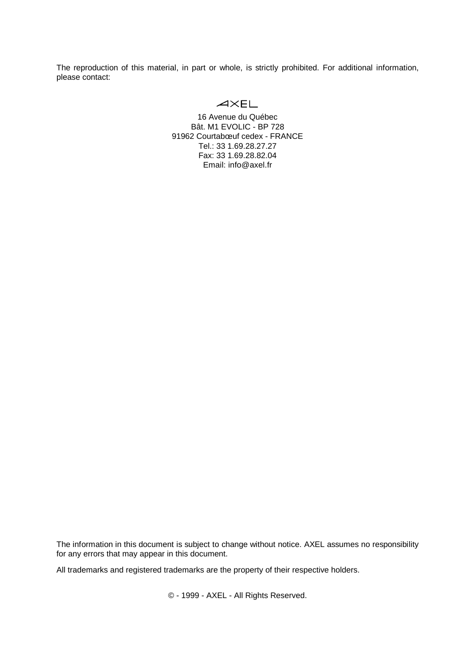The reproduction of this material, in part or whole, is strictly prohibited. For additional information, please contact:

# $AXFI$

16 Avenue du Québec Bât. M1 EVOLIC - BP 728 91962 Courtabœuf cedex - FRANCE Tel.: 33 1.69.28.27.27 Fax: 33 1.69.28.82.04 Email: info@axel.fr

The information in this document is subject to change without notice. AXEL assumes no responsibility for any errors that may appear in this document.

All trademarks and registered trademarks are the property of their respective holders.

© - 1999 - AXEL - All Rights Reserved.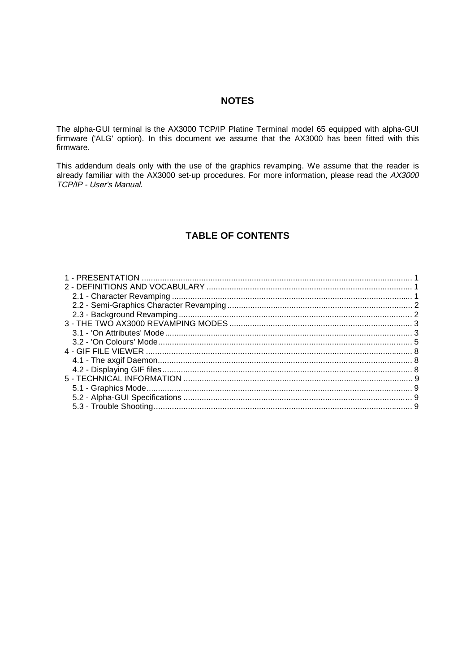## **NOTES**

The alpha-GUI terminal is the AX3000 TCP/IP Platine Terminal model 65 equipped with alpha-GUI firmware ('ALG' option). In this document we assume that the AX3000 has been fitted with this firmware.

This addendum deals only with the use of the graphics revamping. We assume that the reader is already familiar with the AX3000 set-up procedures. For more information, please read the AX3000<br>TCP/IP - User's Manual.

# **TABLE OF CONTENTS**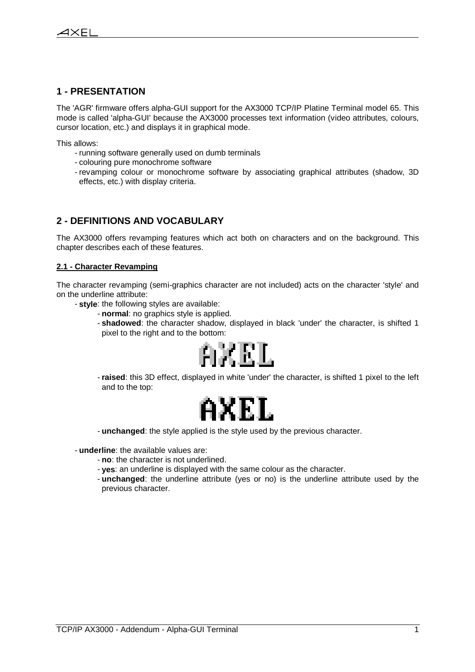## **1 - PRESENTATION**

 $\ddot{\phantom{a}}$ 

The 'AGR' firmware offers alpha-GUI support for the AX3000 TCP/IP Platine Terminal model 65. This mode is called 'alpha-GUI' because the AX3000 processes text information (video attributes, colours, cursor location, etc.) and displays it in graphical mode.

This allows:

- running software generally used on dumb terminals
- colouring pure monochrome software
- revamping colour or monochrome software by associating graphical attributes (shadow, 3D effects, etc.) with display criteria.

## **2 - DEFINITIONS AND VOCABULARY**

The AX3000 offers revamping features which act both on characters and on the background. This chapter describes each of these features.

#### **2.1 - Character Revamping**

The character revamping (semi-graphics character are not included) acts on the character 'style' and on the underline attribute:

- **style**: the following styles are available:
	- **normal**: no graphics style is applied.
	- **shadowed**: the character shadow, displayed in black 'under' the character, is shifted 1 pixel to the right and to the bottom:



- **raised**: this 3D effect, displayed in white 'under' the character, is shifted 1 pixel to the left and to the top:



- **unchanged**: the style applied is the style used by the previous character.

- **underline**: the available values are:

- **no**: the character is not underlined.
- **yes**: an underline is displayed with the same colour as the character.
- **unchanged**: the underline attribute (yes or no) is the underline attribute used by the previous character.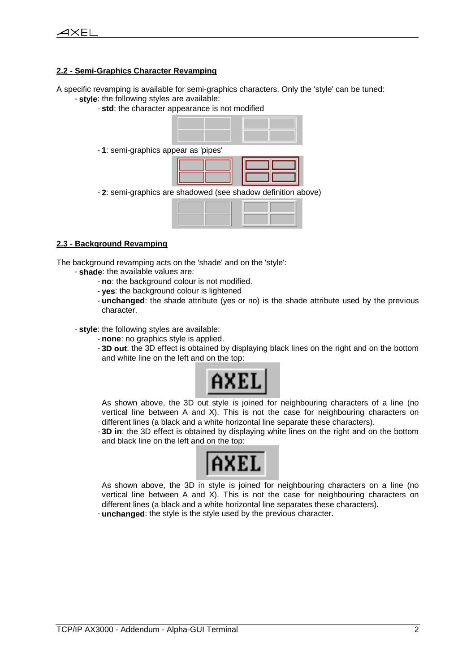#### **2.2 - Semi-Graphics Character Revamping**

A specific revamping is available for semi-graphics characters. Only the 'style' can be tuned: - **style**: the following styles are available:

- **std**: the character appearance is not modified
- 1: semi-graphics appe

| ar as pipes |  |
|-------------|--|
|             |  |
|             |  |
|             |  |
|             |  |

- **2**: semi-graphics are shadowed (see shadow definition above)

#### **2.3 - Background Revamping**

The background revamping acts on the 'shade' and on the 'style':

- **shade**: the available values are:
	- **no**: the background colour is not modified.
	- **yes**: the background colour is lightened
	- **unchanged**: the shade attribute (yes or no) is the shade attribute used by the previous character.
- **style**: the following styles are available:
	- **none**: no graphics style is applied.
	- **3D out**: the 3D effect is obtained by displaying black lines on the right and on the bottom and white line on the left and on the top:



As shown above, the 3D out style is joined for neighbouring characters of a line (no vertical line between A and X). This is not the case for neighbouring characters on different lines (a black and a white horizontal line separate these characters).

- **3D in**: the 3D effect is obtained by displaying white lines on the right and on the bottom and black line on the left and on the top:



As shown above, the 3D in style is joined for neighbouring characters on a line (no vertical line between A and X). This is not the case for neighbouring characters on different lines (a black and a white horizontal line separates these characters). - **unchanged**: the style is the style used by the previous character.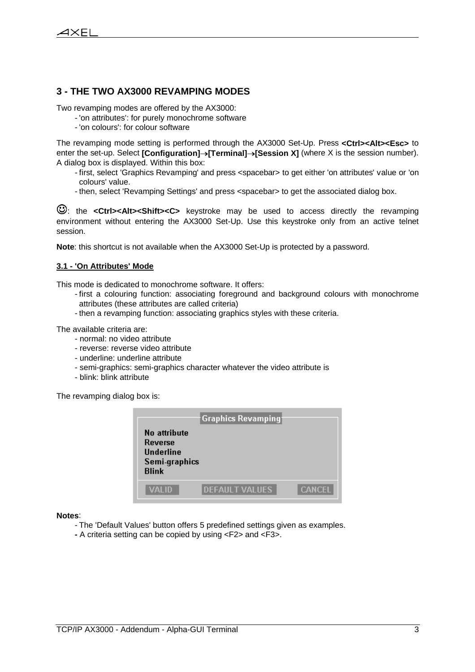## **3 - THE TWO AX3000 REVAMPING MODES**

Two revamping modes are offered by the AX3000:

- 'on attributes': for purely monochrome software
	- 'on colours': for colour software

The revamping mode setting is performed through the AX3000 Set-Up. Press **<Ctrl><Alt><Esc>** to enter the set-up. Select **[Configuration]** $\rightarrow$  **[Terminal]** $\rightarrow$  **[Session X]** (where X is the session number). A dialog box is displayed. Within this box:

- first, select 'Graphics Revamping' and press <spacebar> to get either 'on attributes' value or 'on colours' value.
- then, select 'Revamping Settings' and press <spacebar> to get the associated dialog box.

: the **<Ctrl><Alt><Shift><C>** keystroke may be used to access directly the revamping environment without entering the AX3000 Set-Up. Use this keystroke only from an active telnet session.

**Note**: this shortcut is not available when the AX3000 Set-Up is protected by a password.

#### **3.1 - 'On Attributes' Mode**

This mode is dedicated to monochrome software. It offers:

- first a colouring function: associating foreground and background colours with monochrome attributes (these attributes are called criteria)
- then a revamping function: associating graphics styles with these criteria.

The available criteria are:

- normal: no video attribute
- reverse: reverse video attribute
- underline: underline attribute
- semi-graphics: semi-graphics character whatever the video attribute is
- blink: blink attribute

The revamping dialog box is:

| No attribute<br>Reverse<br><b>Underline</b><br>Semi-graphics<br><b>Blink</b> | Graphics Revamping    |               |
|------------------------------------------------------------------------------|-----------------------|---------------|
| VALID                                                                        | <b>DEFAULT VALUES</b> | <b>CANCEL</b> |

**Notes**:

- The 'Default Values' button offers 5 predefined settings given as examples.
- A criteria setting can be copied by using <F2> and <F3>.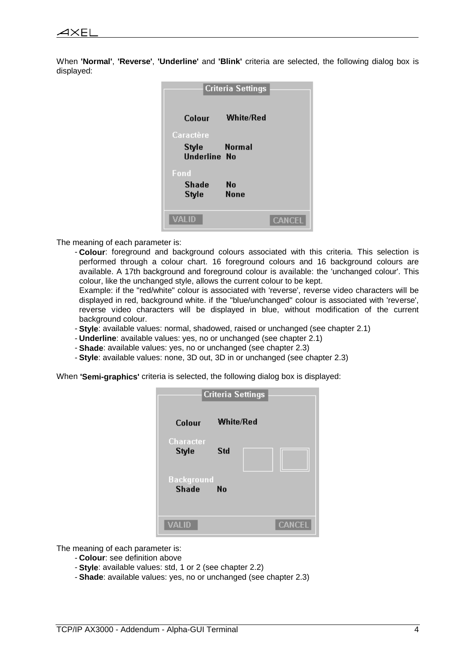When **'Normal'**, **'Reverse'**, **'Underline'** and **'Blink'** criteria are selected, the following dialog box is displayed:

|                              | <b>Criteria Settings</b> |               |
|------------------------------|--------------------------|---------------|
| Colour                       | <b>White/Red</b>         |               |
| Caractère                    |                          |               |
| Style<br><b>Underline No</b> | <b>Example 18</b> Normal |               |
| Fond                         |                          |               |
| Shade                        | No                       |               |
| Style                        | <b>None</b>              |               |
|                              |                          |               |
| VALID                        |                          | <b>CANCEL</b> |

The meaning of each parameter is:

- **Colour**: foreground and background colours associated with this criteria. This selection is performed through a colour chart. 16 foreground colours and 16 background colours are available. A 17th background and foreground colour is available: the 'unchanged colour'. This colour, like the unchanged style, allows the current colour to be kept.

Example: if the "red/white" colour is associated with 'reverse', reverse video characters will be displayed in red, background white. if the "blue/unchanged" colour is associated with 'reverse', reverse video characters will be displayed in blue, without modification of the current background colour.

- **Style**: available values: normal, shadowed, raised or unchanged (see chapter 2.1)
- **Underline**: available values: yes, no or unchanged (see chapter 2.1)
- **Shade**: available values: yes, no or unchanged (see chapter 2.3)
- **Style**: available values: none, 3D out, 3D in or unchanged (see chapter 2.3)

When **'Semi-graphics'** criteria is selected, the following dialog box is displayed:

|                                   | <b>Criteria Settings</b> |
|-----------------------------------|--------------------------|
| Colour                            | White/Red                |
| Character<br><b>Style</b>         | Std                      |
| <b>Background</b><br><b>Shade</b> | No                       |
| VALID                             | <b>CANCEL</b>            |

The meaning of each parameter is:

- **Colour**: see definition above
- **Style**: available values: std, 1 or 2 (see chapter 2.2)
- **Shade**: available values: yes, no or unchanged (see chapter 2.3)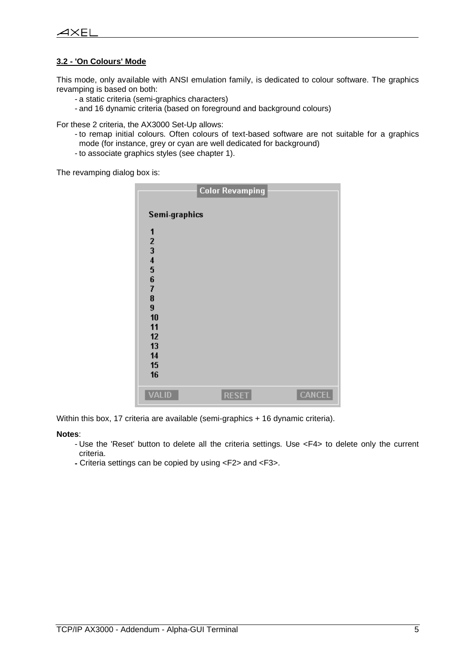#### **3.2 - 'On Colours' Mode**

 $\ddot{\phantom{a}}$ 

This mode, only available with ANSI emulation family, is dedicated to colour software. The graphics revamping is based on both:

- a static criteria (semi-graphics characters)
- and 16 dynamic criteria (based on foreground and background colours)

For these 2 criteria, the AX3000 Set-Up allows:

- to remap initial colours. Often colours of text-based software are not suitable for a graphics mode (for instance, grey or cyan are well dedicated for background)
- to associate graphics styles (see chapter 1).

The revamping dialog box is:

|                                                                                             | <b>Color Revamping</b> |               |
|---------------------------------------------------------------------------------------------|------------------------|---------------|
| Semi-graphics                                                                               |                        |               |
| 1<br>$\frac{2}{3}$<br>4567<br>8<br>$\overline{9}$<br>10<br>11<br>12<br>13<br>14<br>15<br>16 |                        |               |
| <b>VALID</b>                                                                                | <b>RESET</b>           | <b>CANCEL</b> |

Within this box, 17 criteria are available (semi-graphics + 16 dynamic criteria).

#### **Notes**:

- Use the 'Reset' button to delete all the criteria settings. Use <F4> to delete only the current criteria.
- Criteria settings can be copied by using <F2> and <F3>.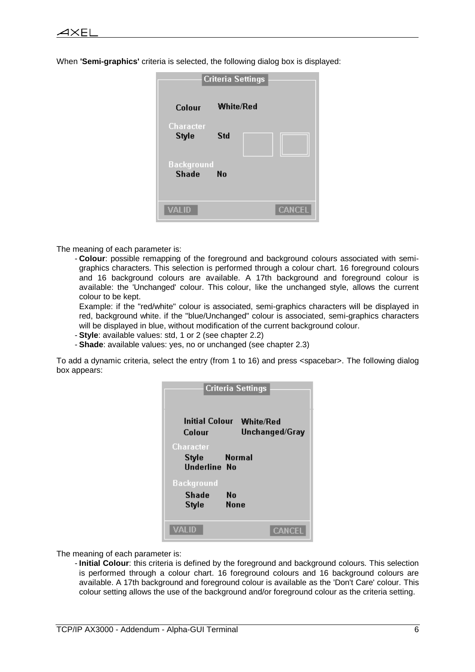When **'Semi-graphics'** criteria is selected, the following dialog box is displayed:

| <b>Criteria Settings</b>          |               |  |
|-----------------------------------|---------------|--|
| Colour                            | White/Red     |  |
| Character<br>Style                | Std           |  |
| <b>Background</b><br><b>Shade</b> | No            |  |
| VALID                             | <b>CANCEL</b> |  |

The meaning of each parameter is:

- **Colour**: possible remapping of the foreground and background colours associated with semigraphics characters. This selection is performed through a colour chart. 16 foreground colours and 16 background colours are available. A 17th background and foreground colour is available: the 'Unchanged' colour. This colour, like the unchanged style, allows the current colour to be kept.

Example: if the "red/white" colour is associated, semi-graphics characters will be displayed in red, background white. if the "blue/Unchanged" colour is associated, semi-graphics characters will be displayed in blue, without modification of the current background colour.

- **Style**: available values: std, 1 or 2 (see chapter 2.2)
- **Shade**: available values: yes, no or unchanged (see chapter 2.3)

To add a dynamic criteria, select the entry (from 1 to 16) and press <spacebar>. The following dialog box appears:

| <b>Criteria Settings</b>                                    |
|-------------------------------------------------------------|
| <b>Initial Colour White/Red</b><br>Unchanged/Gray<br>Colour |
| Character<br><b>Normal</b><br>Style<br><b>Underline No</b>  |
| <b>Background</b><br>Shade<br>No<br><b>None</b><br>Style    |
| VALID<br>CANCEL                                             |

The meaning of each parameter is:

- **Initial Colour**: this criteria is defined by the foreground and background colours. This selection is performed through a colour chart. 16 foreground colours and 16 background colours are available. A 17th background and foreground colour is available as the 'Don't Care' colour. This colour setting allows the use of the background and/or foreground colour as the criteria setting.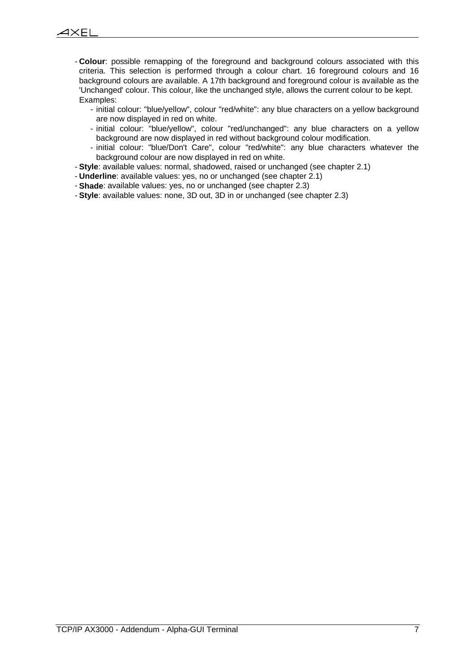- **Colour**: possible remapping of the foreground and background colours associated with this criteria. This selection is performed through a colour chart. 16 foreground colours and 16 background colours are available. A 17th background and foreground colour is available as the 'Unchanged' colour. This colour, like the unchanged style, allows the current colour to be kept. Examples:
	- initial colour: "blue/yellow", colour "red/white": any blue characters on a yellow background are now displayed in red on white.
	- initial colour: "blue/yellow", colour "red/unchanged": any blue characters on a yellow background are now displayed in red without background colour modification.
	- initial colour: "blue/Don't Care", colour "red/white": any blue characters whatever the background colour are now displayed in red on white.
- **Style**: available values: normal, shadowed, raised or unchanged (see chapter 2.1)
- **Underline**: available values: yes, no or unchanged (see chapter 2.1)
- **Shade**: available values: yes, no or unchanged (see chapter 2.3)
- **Style**: available values: none, 3D out, 3D in or unchanged (see chapter 2.3)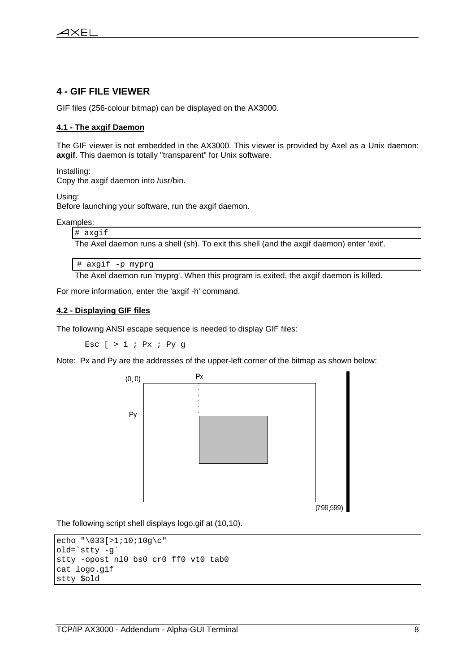## **4 - GIF FILE VIEWER**

 $\ddot{\phantom{a}}$ 

GIF files (256-colour bitmap) can be displayed on the AX3000.

#### **4.1 - The axgif Daemon**

The GIF viewer is not embedded in the AX3000. This viewer is provided by Axel as a Unix daemon: **axgif**. This daemon is totally "transparent" for Unix software.

Installing:

Copy the axgif daemon into /usr/bin.

Using:

Before launching your software, run the axgif daemon.

Examples:

# axgif

The Axel daemon runs a shell (sh). To exit this shell (and the axgif daemon) enter 'exit'.

```
# axgif -p myprg
```
The Axel daemon run 'myprg'. When this program is exited, the axgif daemon is killed.

For more information, enter the 'axgif -h' command.

#### **4.2 - Displaying GIF files**

The following ANSI escape sequence is needed to display GIF files:

Esc  $[ > 1 ; Px ; Py g$ 

Note: Px and Py are the addresses of the upper-left corner of the bitmap as shown below:



The following script shell displays logo.gif at (10,10).

```
echo "\033[>1;10;10g\c"
old=`stty -g`
stty -opost nl0 bs0 cr0 ff0 vt0 tab0
cat logo.gif
stty $old
```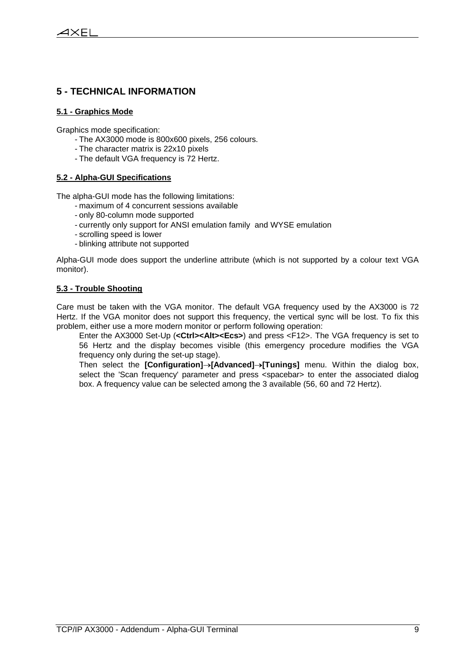## **5 - TECHNICAL INFORMATION**

#### **5.1 - Graphics Mode**

 $\ddot{\phantom{a}}$ 

Graphics mode specification:

- The AX3000 mode is 800x600 pixels, 256 colours.
- The character matrix is 22x10 pixels
- The default VGA frequency is 72 Hertz.

#### **5.2 - Alpha-GUI Specifications**

The alpha-GUI mode has the following limitations:

- maximum of 4 concurrent sessions available
- only 80-column mode supported
- currently only support for ANSI emulation family and WYSE emulation
- scrolling speed is lower
- blinking attribute not supported

Alpha-GUI mode does support the underline attribute (which is not supported by a colour text VGA monitor).

#### **5.3 - Trouble Shooting**

Care must be taken with the VGA monitor. The default VGA frequency used by the AX3000 is 72 Hertz. If the VGA monitor does not support this frequency, the vertical sync will be lost. To fix this problem, either use a more modern monitor or perform following operation:

Enter the AX3000 Set-Up (**<Ctrl><Alt><Ecs>**) and press <F12>. The VGA frequency is set to 56 Hertz and the display becomes visible (this emergency procedure modifies the VGA frequency only during the set-up stage).

Then select the **[Configuration]** $\rightarrow$ **[Advanced]** $\rightarrow$ **[Tunings]** menu. Within the dialog box, select the 'Scan frequency' parameter and press <spacebar> to enter the associated dialog box. A frequency value can be selected among the 3 available (56, 60 and 72 Hertz).